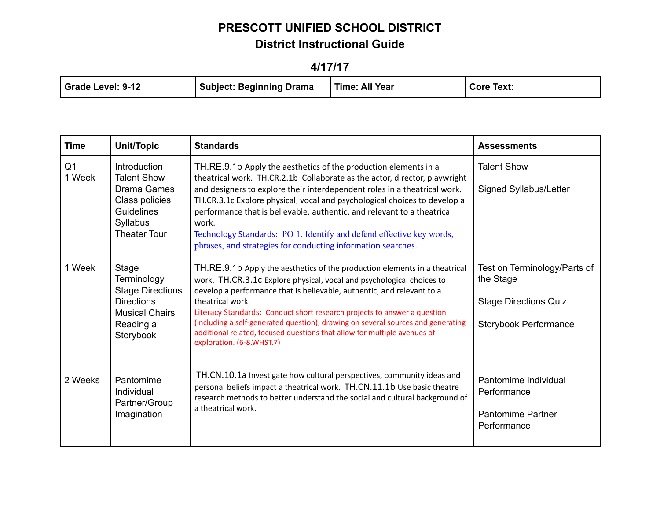**4/17/17**

| <b>Time</b>              | Unit/Topic                                                                                                                         | <b>Standards</b>                                                                                                                                                                                                                                                                                                                                                                                                                                                                                                                    | <b>Assessments</b>                                                                                 |
|--------------------------|------------------------------------------------------------------------------------------------------------------------------------|-------------------------------------------------------------------------------------------------------------------------------------------------------------------------------------------------------------------------------------------------------------------------------------------------------------------------------------------------------------------------------------------------------------------------------------------------------------------------------------------------------------------------------------|----------------------------------------------------------------------------------------------------|
| Q <sub>1</sub><br>1 Week | <b>Introduction</b><br><b>Talent Show</b><br>Drama Games<br>Class policies<br><b>Guidelines</b><br>Syllabus<br><b>Theater Tour</b> | TH.RE.9.1b Apply the aesthetics of the production elements in a<br>theatrical work. TH.CR.2.1b Collaborate as the actor, director, playwright<br>and designers to explore their interdependent roles in a theatrical work.<br>TH.CR.3.1c Explore physical, vocal and psychological choices to develop a<br>performance that is believable, authentic, and relevant to a theatrical<br>work.<br>Technology Standards: PO 1. Identify and defend effective key words,<br>phrases, and strategies for conducting information searches. | <b>Talent Show</b><br>Signed Syllabus/Letter                                                       |
| 1 Week                   | Stage<br>Terminology<br><b>Stage Directions</b><br><b>Directions</b><br><b>Musical Chairs</b><br>Reading a<br>Storybook            | TH.RE.9.1b Apply the aesthetics of the production elements in a theatrical<br>work. TH.CR.3.1c Explore physical, vocal and psychological choices to<br>develop a performance that is believable, authentic, and relevant to a<br>theatrical work.<br>Literacy Standards: Conduct short research projects to answer a question<br>(including a self-generated question), drawing on several sources and generating<br>additional related, focused questions that allow for multiple avenues of<br>exploration. (6-8.WHST.7)          | Test on Terminology/Parts of<br>the Stage<br><b>Stage Directions Quiz</b><br>Storybook Performance |
| 2 Weeks                  | Pantomime<br>Individual<br>Partner/Group<br>Imagination                                                                            | TH.CN.10.1a Investigate how cultural perspectives, community ideas and<br>personal beliefs impact a theatrical work. TH.CN.11.1b Use basic theatre<br>research methods to better understand the social and cultural background of<br>a theatrical work.                                                                                                                                                                                                                                                                             | Pantomime Individual<br>Performance<br><b>Pantomime Partner</b><br>Performance                     |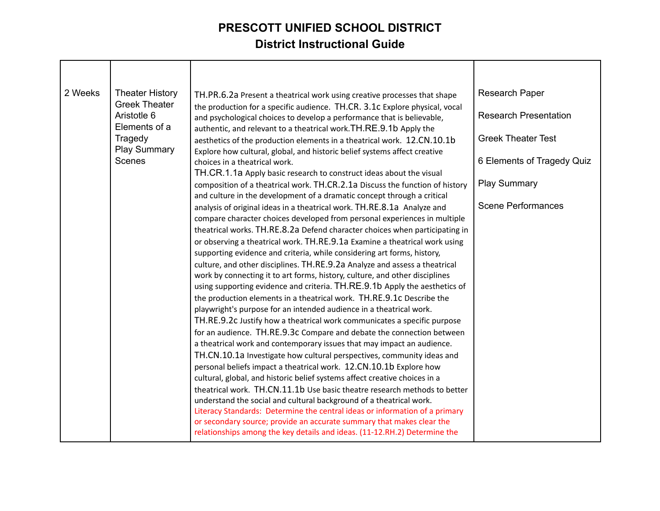| 2 Weeks | <b>Theater History</b>                               | TH.PR.6.2a Present a theatrical work using creative processes that shape                                                                                                                                                          | <b>Research Paper</b>        |
|---------|------------------------------------------------------|-----------------------------------------------------------------------------------------------------------------------------------------------------------------------------------------------------------------------------------|------------------------------|
|         | <b>Greek Theater</b><br>Aristotle 6<br>Elements of a | the production for a specific audience. TH.CR. 3.1c Explore physical, vocal<br>and psychological choices to develop a performance that is believable,                                                                             | <b>Research Presentation</b> |
|         | Tragedy<br><b>Play Summary</b>                       | authentic, and relevant to a theatrical work. TH.RE.9.1b Apply the<br>aesthetics of the production elements in a theatrical work. 12.CN.10.1b                                                                                     | <b>Greek Theater Test</b>    |
|         | <b>Scenes</b>                                        | Explore how cultural, global, and historic belief systems affect creative<br>choices in a theatrical work.<br>TH.CR.1.1a Apply basic research to construct ideas about the visual                                                 | 6 Elements of Tragedy Quiz   |
|         |                                                      | composition of a theatrical work. TH.CR.2.1a Discuss the function of history<br>and culture in the development of a dramatic concept through a critical                                                                           | <b>Play Summary</b>          |
|         |                                                      | analysis of original ideas in a theatrical work. TH.RE.8.1a Analyze and<br>compare character choices developed from personal experiences in multiple                                                                              | <b>Scene Performances</b>    |
|         |                                                      | theatrical works. TH.RE.8.2a Defend character choices when participating in<br>or observing a theatrical work. TH.RE.9.1a Examine a theatrical work using                                                                         |                              |
|         |                                                      | supporting evidence and criteria, while considering art forms, history,<br>culture, and other disciplines. TH.RE.9.2a Analyze and assess a theatrical                                                                             |                              |
|         |                                                      | work by connecting it to art forms, history, culture, and other disciplines<br>using supporting evidence and criteria. TH.RE.9.1b Apply the aesthetics of                                                                         |                              |
|         |                                                      | the production elements in a theatrical work. TH.RE.9.1c Describe the<br>playwright's purpose for an intended audience in a theatrical work.                                                                                      |                              |
|         |                                                      | TH.RE.9.2c Justify how a theatrical work communicates a specific purpose<br>for an audience. TH.RE.9.3c Compare and debate the connection between                                                                                 |                              |
|         |                                                      | a theatrical work and contemporary issues that may impact an audience.<br>TH.CN.10.1a Investigate how cultural perspectives, community ideas and                                                                                  |                              |
|         |                                                      | personal beliefs impact a theatrical work. 12.CN.10.1b Explore how<br>cultural, global, and historic belief systems affect creative choices in a                                                                                  |                              |
|         |                                                      | theatrical work. TH.CN.11.1b Use basic theatre research methods to better<br>understand the social and cultural background of a theatrical work.                                                                                  |                              |
|         |                                                      | Literacy Standards: Determine the central ideas or information of a primary<br>or secondary source; provide an accurate summary that makes clear the<br>relationships among the key details and ideas. (11-12.RH.2) Determine the |                              |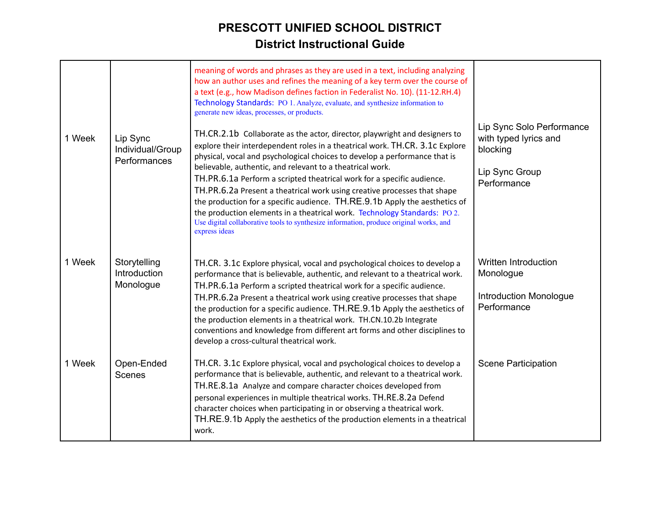| 1 Week | Lip Sync<br>Individual/Group<br>Performances | meaning of words and phrases as they are used in a text, including analyzing<br>how an author uses and refines the meaning of a key term over the course of<br>a text (e.g., how Madison defines faction in Federalist No. 10). (11-12.RH.4)<br>Technology Standards: PO 1. Analyze, evaluate, and synthesize information to<br>generate new ideas, processes, or products.<br>TH.CR.2.1b Collaborate as the actor, director, playwright and designers to<br>explore their interdependent roles in a theatrical work. TH.CR. 3.1c Explore<br>physical, vocal and psychological choices to develop a performance that is<br>believable, authentic, and relevant to a theatrical work.<br>TH.PR.6.1a Perform a scripted theatrical work for a specific audience.<br>TH.PR.6.2a Present a theatrical work using creative processes that shape<br>the production for a specific audience. TH.RE.9.1b Apply the aesthetics of<br>the production elements in a theatrical work. Technology Standards: PO 2.<br>Use digital collaborative tools to synthesize information, produce original works, and<br>express ideas | Lip Sync Solo Performance<br>with typed lyrics and<br>blocking<br>Lip Sync Group<br>Performance |
|--------|----------------------------------------------|------------------------------------------------------------------------------------------------------------------------------------------------------------------------------------------------------------------------------------------------------------------------------------------------------------------------------------------------------------------------------------------------------------------------------------------------------------------------------------------------------------------------------------------------------------------------------------------------------------------------------------------------------------------------------------------------------------------------------------------------------------------------------------------------------------------------------------------------------------------------------------------------------------------------------------------------------------------------------------------------------------------------------------------------------------------------------------------------------------------|-------------------------------------------------------------------------------------------------|
| 1 Week | Storytelling<br>Introduction<br>Monologue    | TH.CR. 3.1c Explore physical, vocal and psychological choices to develop a<br>performance that is believable, authentic, and relevant to a theatrical work.<br>TH.PR.6.1a Perform a scripted theatrical work for a specific audience.<br>TH.PR.6.2a Present a theatrical work using creative processes that shape<br>the production for a specific audience. TH.RE.9.1b Apply the aesthetics of<br>the production elements in a theatrical work. TH.CN.10.2b Integrate<br>conventions and knowledge from different art forms and other disciplines to<br>develop a cross-cultural theatrical work.                                                                                                                                                                                                                                                                                                                                                                                                                                                                                                               | Written Introduction<br>Monologue<br>Introduction Monologue<br>Performance                      |
| 1 Week | Open-Ended<br>Scenes                         | TH.CR. 3.1c Explore physical, vocal and psychological choices to develop a<br>performance that is believable, authentic, and relevant to a theatrical work.<br>TH.RE.8.1a Analyze and compare character choices developed from<br>personal experiences in multiple theatrical works. TH.RE.8.2a Defend<br>character choices when participating in or observing a theatrical work.<br>TH.RE.9.1b Apply the aesthetics of the production elements in a theatrical<br>work.                                                                                                                                                                                                                                                                                                                                                                                                                                                                                                                                                                                                                                         | <b>Scene Participation</b>                                                                      |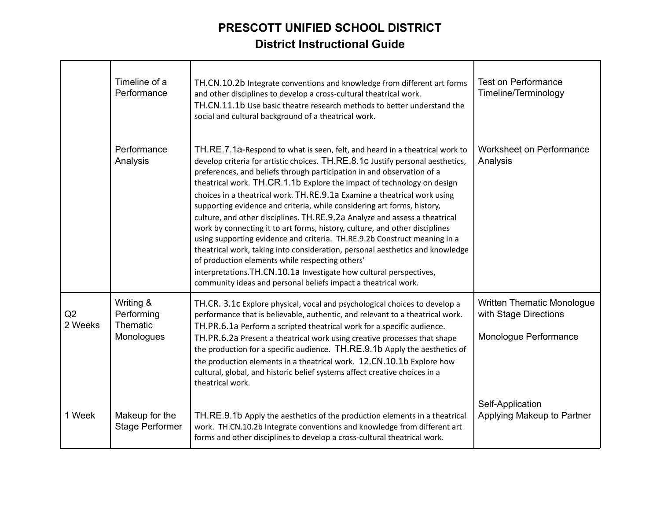|               | Timeline of a<br>Performance                      | TH.CN.10.2b Integrate conventions and knowledge from different art forms<br>and other disciplines to develop a cross-cultural theatrical work.<br>TH.CN.11.1b Use basic theatre research methods to better understand the<br>social and cultural background of a theatrical work.                                                                                                                                                                                                                                                                                                                                                                                                                                                                                                                                                                                                                                                                                                               | <b>Test on Performance</b><br>Timeline/Terminology                                  |
|---------------|---------------------------------------------------|-------------------------------------------------------------------------------------------------------------------------------------------------------------------------------------------------------------------------------------------------------------------------------------------------------------------------------------------------------------------------------------------------------------------------------------------------------------------------------------------------------------------------------------------------------------------------------------------------------------------------------------------------------------------------------------------------------------------------------------------------------------------------------------------------------------------------------------------------------------------------------------------------------------------------------------------------------------------------------------------------|-------------------------------------------------------------------------------------|
|               | Performance<br>Analysis                           | TH.RE.7.1a-Respond to what is seen, felt, and heard in a theatrical work to<br>develop criteria for artistic choices. TH.RE.8.1C Justify personal aesthetics,<br>preferences, and beliefs through participation in and observation of a<br>theatrical work. TH.CR.1.1b Explore the impact of technology on design<br>choices in a theatrical work. TH.RE.9.1a Examine a theatrical work using<br>supporting evidence and criteria, while considering art forms, history,<br>culture, and other disciplines. TH.RE.9.2a Analyze and assess a theatrical<br>work by connecting it to art forms, history, culture, and other disciplines<br>using supporting evidence and criteria. TH.RE.9.2b Construct meaning in a<br>theatrical work, taking into consideration, personal aesthetics and knowledge<br>of production elements while respecting others'<br>interpretations. TH.CN.10.1a Investigate how cultural perspectives,<br>community ideas and personal beliefs impact a theatrical work. | Worksheet on Performance<br>Analysis                                                |
| Q2<br>2 Weeks | Writing &<br>Performing<br>Thematic<br>Monologues | TH.CR. 3.1c Explore physical, vocal and psychological choices to develop a<br>performance that is believable, authentic, and relevant to a theatrical work.<br>TH.PR.6.1a Perform a scripted theatrical work for a specific audience.<br>TH.PR.6.2a Present a theatrical work using creative processes that shape<br>the production for a specific audience. TH.RE.9.1b Apply the aesthetics of<br>the production elements in a theatrical work. 12.CN.10.1b Explore how<br>cultural, global, and historic belief systems affect creative choices in a<br>theatrical work.                                                                                                                                                                                                                                                                                                                                                                                                                      | <b>Written Thematic Monologue</b><br>with Stage Directions<br>Monologue Performance |
| 1 Week        | Makeup for the<br><b>Stage Performer</b>          | TH.RE.9.1b Apply the aesthetics of the production elements in a theatrical<br>work. TH.CN.10.2b Integrate conventions and knowledge from different art<br>forms and other disciplines to develop a cross-cultural theatrical work.                                                                                                                                                                                                                                                                                                                                                                                                                                                                                                                                                                                                                                                                                                                                                              | Self-Application<br>Applying Makeup to Partner                                      |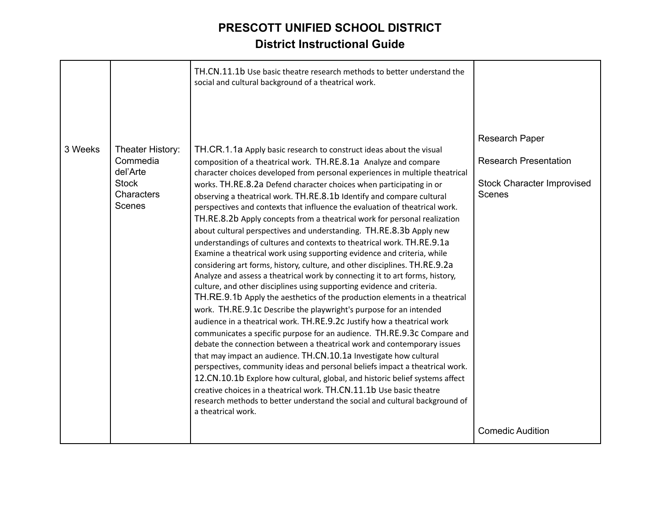|         |                                                                                  | TH.CN.11.1b Use basic theatre research methods to better understand the<br>social and cultural background of a theatrical work.                                                                                                                                                                                                                                                                                                                                                                                                                                                                                                                                                                                                                                                                                                                                                                                                                                                                                                                                                                                                                                                                                                                                                                                                                                                                                                                                                                                                                                                                                                                                                                                                                                                                                |                                                                                                                                 |
|---------|----------------------------------------------------------------------------------|----------------------------------------------------------------------------------------------------------------------------------------------------------------------------------------------------------------------------------------------------------------------------------------------------------------------------------------------------------------------------------------------------------------------------------------------------------------------------------------------------------------------------------------------------------------------------------------------------------------------------------------------------------------------------------------------------------------------------------------------------------------------------------------------------------------------------------------------------------------------------------------------------------------------------------------------------------------------------------------------------------------------------------------------------------------------------------------------------------------------------------------------------------------------------------------------------------------------------------------------------------------------------------------------------------------------------------------------------------------------------------------------------------------------------------------------------------------------------------------------------------------------------------------------------------------------------------------------------------------------------------------------------------------------------------------------------------------------------------------------------------------------------------------------------------------|---------------------------------------------------------------------------------------------------------------------------------|
| 3 Weeks | Theater History:<br>Commedia<br>del'Arte<br><b>Stock</b><br>Characters<br>Scenes | TH.CR.1.1a Apply basic research to construct ideas about the visual<br>composition of a theatrical work. TH.RE.8.1a Analyze and compare<br>character choices developed from personal experiences in multiple theatrical<br>works. TH.RE.8.2a Defend character choices when participating in or<br>observing a theatrical work. TH.RE.8.1b Identify and compare cultural<br>perspectives and contexts that influence the evaluation of theatrical work.<br>TH.RE.8.2b Apply concepts from a theatrical work for personal realization<br>about cultural perspectives and understanding. TH.RE.8.3b Apply new<br>understandings of cultures and contexts to theatrical work. TH.RE.9.1a<br>Examine a theatrical work using supporting evidence and criteria, while<br>considering art forms, history, culture, and other disciplines. TH.RE.9.2a<br>Analyze and assess a theatrical work by connecting it to art forms, history,<br>culture, and other disciplines using supporting evidence and criteria.<br>TH.RE.9.1b Apply the aesthetics of the production elements in a theatrical<br>work. TH.RE.9.1c Describe the playwright's purpose for an intended<br>audience in a theatrical work. TH.RE.9.2c Justify how a theatrical work<br>communicates a specific purpose for an audience. TH.RE.9.3c Compare and<br>debate the connection between a theatrical work and contemporary issues<br>that may impact an audience. TH.CN.10.1a Investigate how cultural<br>perspectives, community ideas and personal beliefs impact a theatrical work.<br>12.CN.10.1b Explore how cultural, global, and historic belief systems affect<br>creative choices in a theatrical work. TH.CN.11.1b Use basic theatre<br>research methods to better understand the social and cultural background of<br>a theatrical work. | <b>Research Paper</b><br><b>Research Presentation</b><br><b>Stock Character Improvised</b><br>Scenes<br><b>Comedic Audition</b> |
|         |                                                                                  |                                                                                                                                                                                                                                                                                                                                                                                                                                                                                                                                                                                                                                                                                                                                                                                                                                                                                                                                                                                                                                                                                                                                                                                                                                                                                                                                                                                                                                                                                                                                                                                                                                                                                                                                                                                                                |                                                                                                                                 |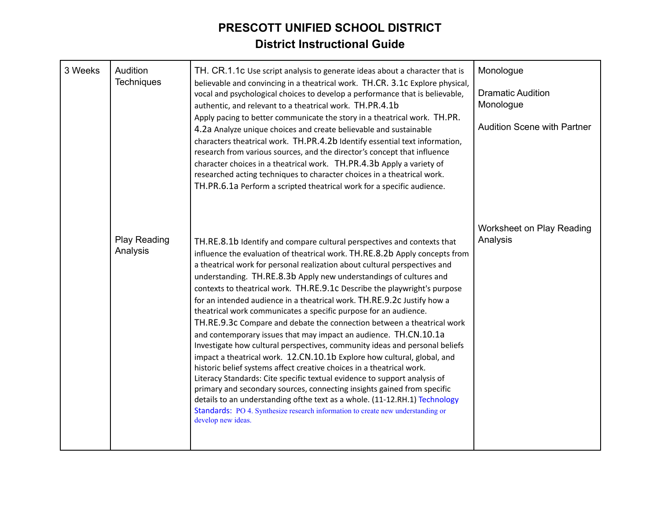| 3 Weeks | Audition<br><b>Techniques</b> | TH. CR.1.1c Use script analysis to generate ideas about a character that is<br>believable and convincing in a theatrical work. TH.CR. 3.1c Explore physical,<br>vocal and psychological choices to develop a performance that is believable,<br>authentic, and relevant to a theatrical work. TH.PR.4.1b<br>Apply pacing to better communicate the story in a theatrical work. TH.PR.<br>4.2a Analyze unique choices and create believable and sustainable<br>characters theatrical work. TH.PR.4.2b Identify essential text information,<br>research from various sources, and the director's concept that influence<br>character choices in a theatrical work. TH.PR.4.3b Apply a variety of<br>researched acting techniques to character choices in a theatrical work.<br>TH.PR.6.1a Perform a scripted theatrical work for a specific audience.                                                                                                                                                                                                                                                                                                                                                                                                                    | Monologue<br><b>Dramatic Audition</b><br>Monologue<br><b>Audition Scene with Partner</b> |
|---------|-------------------------------|------------------------------------------------------------------------------------------------------------------------------------------------------------------------------------------------------------------------------------------------------------------------------------------------------------------------------------------------------------------------------------------------------------------------------------------------------------------------------------------------------------------------------------------------------------------------------------------------------------------------------------------------------------------------------------------------------------------------------------------------------------------------------------------------------------------------------------------------------------------------------------------------------------------------------------------------------------------------------------------------------------------------------------------------------------------------------------------------------------------------------------------------------------------------------------------------------------------------------------------------------------------------|------------------------------------------------------------------------------------------|
|         | Play Reading<br>Analysis      | TH.RE.8.1b Identify and compare cultural perspectives and contexts that<br>influence the evaluation of theatrical work. TH.RE.8.2b Apply concepts from<br>a theatrical work for personal realization about cultural perspectives and<br>understanding. TH.RE.8.3b Apply new understandings of cultures and<br>contexts to theatrical work. TH.RE.9.1c Describe the playwright's purpose<br>for an intended audience in a theatrical work. TH.RE.9.2c Justify how a<br>theatrical work communicates a specific purpose for an audience.<br>TH.RE.9.3c Compare and debate the connection between a theatrical work<br>and contemporary issues that may impact an audience. TH.CN.10.1a<br>Investigate how cultural perspectives, community ideas and personal beliefs<br>impact a theatrical work. 12.CN.10.1b Explore how cultural, global, and<br>historic belief systems affect creative choices in a theatrical work.<br>Literacy Standards: Cite specific textual evidence to support analysis of<br>primary and secondary sources, connecting insights gained from specific<br>details to an understanding ofthe text as a whole. (11-12.RH.1) Technology<br>Standards: PO 4. Synthesize research information to create new understanding or<br>develop new ideas. | Worksheet on Play Reading<br>Analysis                                                    |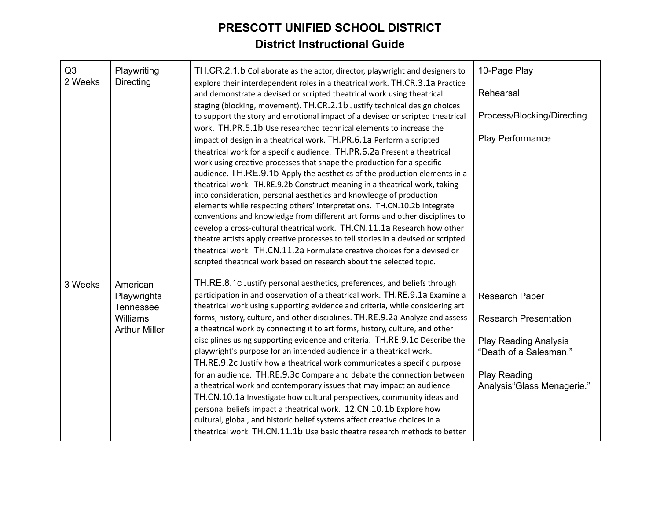| Q3<br>2 Weeks | Playwriting<br>Directing                                                 | TH.CR.2.1.b Collaborate as the actor, director, playwright and designers to<br>explore their interdependent roles in a theatrical work. TH.CR.3.1a Practice<br>and demonstrate a devised or scripted theatrical work using theatrical<br>staging (blocking, movement). TH.CR.2.1b Justify technical design choices<br>to support the story and emotional impact of a devised or scripted theatrical<br>work. TH.PR.5.1b Use researched technical elements to increase the<br>impact of design in a theatrical work. TH.PR.6.1a Perform a scripted<br>theatrical work for a specific audience. TH.PR.6.2a Present a theatrical<br>work using creative processes that shape the production for a specific<br>audience. TH.RE.9.1b Apply the aesthetics of the production elements in a<br>theatrical work. TH.RE.9.2b Construct meaning in a theatrical work, taking<br>into consideration, personal aesthetics and knowledge of production<br>elements while respecting others' interpretations. TH.CN.10.2b Integrate | 10-Page Play<br>Rehearsal<br>Process/Blocking/Directing<br>Play Performance           |
|---------------|--------------------------------------------------------------------------|-----------------------------------------------------------------------------------------------------------------------------------------------------------------------------------------------------------------------------------------------------------------------------------------------------------------------------------------------------------------------------------------------------------------------------------------------------------------------------------------------------------------------------------------------------------------------------------------------------------------------------------------------------------------------------------------------------------------------------------------------------------------------------------------------------------------------------------------------------------------------------------------------------------------------------------------------------------------------------------------------------------------------|---------------------------------------------------------------------------------------|
| 3 Weeks       | American<br>Playwrights<br>Tennessee<br>Williams<br><b>Arthur Miller</b> | conventions and knowledge from different art forms and other disciplines to<br>develop a cross-cultural theatrical work. TH.CN.11.1a Research how other<br>theatre artists apply creative processes to tell stories in a devised or scripted<br>theatrical work. TH.CN.11.2a Formulate creative choices for a devised or<br>scripted theatrical work based on research about the selected topic.<br>TH.RE.8.1c Justify personal aesthetics, preferences, and beliefs through<br>participation in and observation of a theatrical work. TH.RE.9.1a Examine a<br>theatrical work using supporting evidence and criteria, while considering art<br>forms, history, culture, and other disciplines. TH.RE.9.2a Analyze and assess<br>a theatrical work by connecting it to art forms, history, culture, and other<br>disciplines using supporting evidence and criteria. TH.RE.9.1c Describe the                                                                                                                          | <b>Research Paper</b><br><b>Research Presentation</b><br><b>Play Reading Analysis</b> |
|               |                                                                          | playwright's purpose for an intended audience in a theatrical work.<br>TH.RE.9.2c Justify how a theatrical work communicates a specific purpose<br>for an audience. TH.RE.9.3c Compare and debate the connection between<br>a theatrical work and contemporary issues that may impact an audience.<br>TH.CN.10.1a Investigate how cultural perspectives, community ideas and<br>personal beliefs impact a theatrical work. 12.CN.10.1b Explore how<br>cultural, global, and historic belief systems affect creative choices in a<br>theatrical work. TH.CN.11.1b Use basic theatre research methods to better                                                                                                                                                                                                                                                                                                                                                                                                         | "Death of a Salesman."<br><b>Play Reading</b><br>Analysis"Glass Menagerie."           |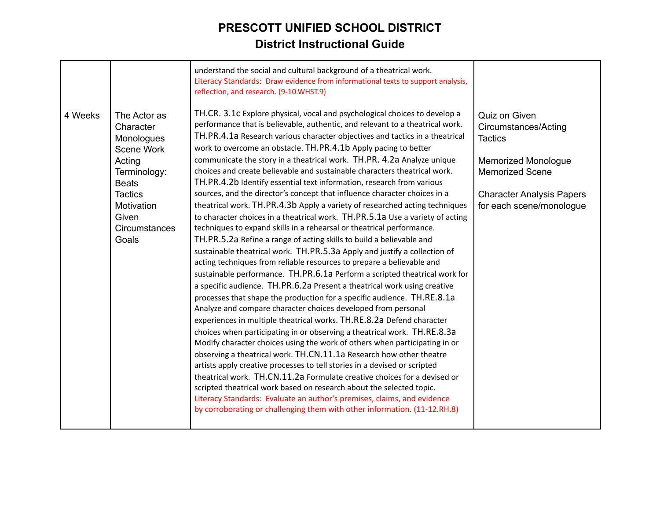| TH.CR. 3.1c Explore physical, vocal and psychological choices to develop a<br>Quiz on Given<br>4 Weeks<br>The Actor as<br>performance that is believable, authentic, and relevant to a theatrical work.<br>Character<br>Circumstances/Acting<br>TH.PR.4.1a Research various character objectives and tactics in a theatrical<br>Monologues<br><b>Tactics</b><br>work to overcome an obstacle. TH.PR.4.1b Apply pacing to better<br>Scene Work<br>communicate the story in a theatrical work. TH.PR. 4.2a Analyze unique<br>Acting<br><b>Memorized Monologue</b><br>choices and create believable and sustainable characters theatrical work.<br><b>Memorized Scene</b><br>Terminology:<br>TH.PR.4.2b Identify essential text information, research from various<br><b>Beats</b><br>sources, and the director's concept that influence character choices in a<br><b>Tactics</b><br><b>Character Analysis Papers</b><br>theatrical work. TH.PR.4.3b Apply a variety of researched acting techniques<br>Motivation<br>for each scene/monologue<br>Given<br>to character choices in a theatrical work. TH.PR.5.1a Use a variety of acting<br>techniques to expand skills in a rehearsal or theatrical performance.<br>Circumstances<br>Goals<br>TH.PR.5.2a Refine a range of acting skills to build a believable and<br>sustainable theatrical work. TH.PR.5.3a Apply and justify a collection of<br>acting techniques from reliable resources to prepare a believable and<br>sustainable performance. TH.PR.6.1a Perform a scripted theatrical work for<br>a specific audience. TH.PR.6.2a Present a theatrical work using creative<br>processes that shape the production for a specific audience. TH.RE.8.1a<br>Analyze and compare character choices developed from personal<br>experiences in multiple theatrical works. TH.RE.8.2a Defend character<br>choices when participating in or observing a theatrical work. TH.RE.8.3a<br>Modify character choices using the work of others when participating in or<br>observing a theatrical work. TH.CN.11.1a Research how other theatre<br>artists apply creative processes to tell stories in a devised or scripted<br>theatrical work. TH.CN.11.2a Formulate creative choices for a devised or<br>scripted theatrical work based on research about the selected topic.<br>Literacy Standards: Evaluate an author's premises, claims, and evidence |  | understand the social and cultural background of a theatrical work.<br>Literacy Standards: Draw evidence from informational texts to support analysis,<br>reflection, and research. (9-10.WHST.9) |  |
|----------------------------------------------------------------------------------------------------------------------------------------------------------------------------------------------------------------------------------------------------------------------------------------------------------------------------------------------------------------------------------------------------------------------------------------------------------------------------------------------------------------------------------------------------------------------------------------------------------------------------------------------------------------------------------------------------------------------------------------------------------------------------------------------------------------------------------------------------------------------------------------------------------------------------------------------------------------------------------------------------------------------------------------------------------------------------------------------------------------------------------------------------------------------------------------------------------------------------------------------------------------------------------------------------------------------------------------------------------------------------------------------------------------------------------------------------------------------------------------------------------------------------------------------------------------------------------------------------------------------------------------------------------------------------------------------------------------------------------------------------------------------------------------------------------------------------------------------------------------------------------------------------------------------------------------------------------------------------------------------------------------------------------------------------------------------------------------------------------------------------------------------------------------------------------------------------------------------------------------------------------------------------------------------------------------------------------------------------------------------------------------------------|--|---------------------------------------------------------------------------------------------------------------------------------------------------------------------------------------------------|--|
|                                                                                                                                                                                                                                                                                                                                                                                                                                                                                                                                                                                                                                                                                                                                                                                                                                                                                                                                                                                                                                                                                                                                                                                                                                                                                                                                                                                                                                                                                                                                                                                                                                                                                                                                                                                                                                                                                                                                                                                                                                                                                                                                                                                                                                                                                                                                                                                                    |  | by corroborating or challenging them with other information. (11-12.RH.8)                                                                                                                         |  |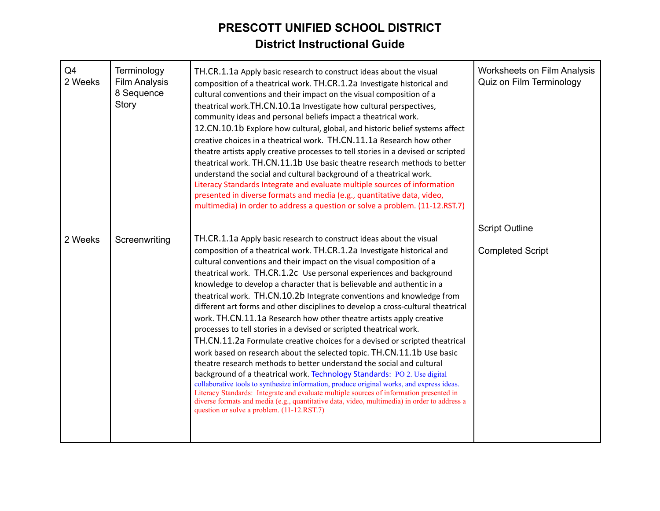| Q4<br>2 Weeks | Terminology<br><b>Film Analysis</b><br>8 Sequence<br>Story | TH.CR.1.1a Apply basic research to construct ideas about the visual<br>composition of a theatrical work. TH.CR.1.2a Investigate historical and<br>cultural conventions and their impact on the visual composition of a<br>theatrical work.TH.CN.10.1a Investigate how cultural perspectives,<br>community ideas and personal beliefs impact a theatrical work.<br>12.CN.10.1b Explore how cultural, global, and historic belief systems affect<br>creative choices in a theatrical work. TH.CN.11.1a Research how other<br>theatre artists apply creative processes to tell stories in a devised or scripted<br>theatrical work. TH.CN.11.1b Use basic theatre research methods to better<br>understand the social and cultural background of a theatrical work.<br>Literacy Standards Integrate and evaluate multiple sources of information<br>presented in diverse formats and media (e.g., quantitative data, video,<br>multimedia) in order to address a question or solve a problem. (11-12.RST.7)                                                                                                                                                                                                                                                                                                                               | <b>Worksheets on Film Analysis</b><br>Quiz on Film Terminology |
|---------------|------------------------------------------------------------|----------------------------------------------------------------------------------------------------------------------------------------------------------------------------------------------------------------------------------------------------------------------------------------------------------------------------------------------------------------------------------------------------------------------------------------------------------------------------------------------------------------------------------------------------------------------------------------------------------------------------------------------------------------------------------------------------------------------------------------------------------------------------------------------------------------------------------------------------------------------------------------------------------------------------------------------------------------------------------------------------------------------------------------------------------------------------------------------------------------------------------------------------------------------------------------------------------------------------------------------------------------------------------------------------------------------------------------|----------------------------------------------------------------|
| 2 Weeks       | Screenwriting                                              | TH.CR.1.1a Apply basic research to construct ideas about the visual<br>composition of a theatrical work. TH.CR.1.2a Investigate historical and<br>cultural conventions and their impact on the visual composition of a<br>theatrical work. TH.CR.1.2c Use personal experiences and background<br>knowledge to develop a character that is believable and authentic in a<br>theatrical work. TH.CN.10.2b Integrate conventions and knowledge from<br>different art forms and other disciplines to develop a cross-cultural theatrical<br>work. TH.CN.11.1a Research how other theatre artists apply creative<br>processes to tell stories in a devised or scripted theatrical work.<br>TH.CN.11.2a Formulate creative choices for a devised or scripted theatrical<br>work based on research about the selected topic. TH.CN.11.1b Use basic<br>theatre research methods to better understand the social and cultural<br>background of a theatrical work. Technology Standards: PO 2. Use digital<br>collaborative tools to synthesize information, produce original works, and express ideas.<br>Literacy Standards: Integrate and evaluate multiple sources of information presented in<br>diverse formats and media (e.g., quantitative data, video, multimedia) in order to address a<br>question or solve a problem. (11-12.RST.7) | <b>Script Outline</b><br><b>Completed Script</b>               |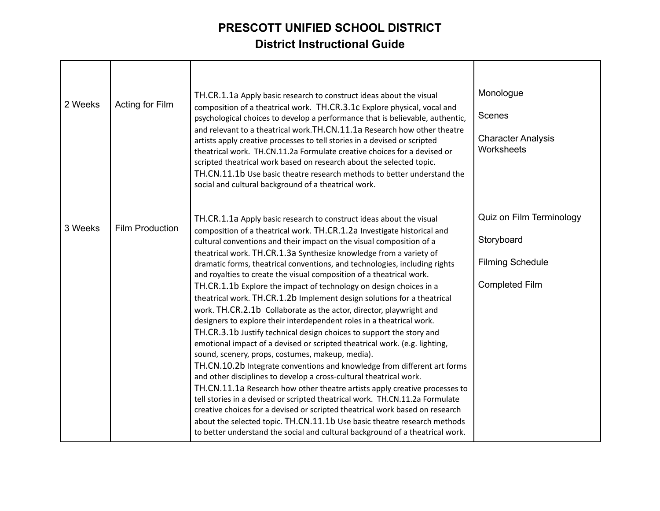| 2 Weeks | Acting for Film        | TH.CR.1.1a Apply basic research to construct ideas about the visual<br>composition of a theatrical work. TH.CR.3.1c Explore physical, vocal and<br>psychological choices to develop a performance that is believable, authentic,<br>and relevant to a theatrical work. TH.CN.11.1a Research how other theatre<br>artists apply creative processes to tell stories in a devised or scripted<br>theatrical work. TH.CN.11.2a Formulate creative choices for a devised or<br>scripted theatrical work based on research about the selected topic.<br>TH.CN.11.1b Use basic theatre research methods to better understand the<br>social and cultural background of a theatrical work.                                                                                                                                                                                                                                                                                                                                                                                                                                                                                                                                                                                                                                                                                                                                                                                                                                          | Monologue<br>Scenes<br><b>Character Analysis</b><br>Worksheets                             |
|---------|------------------------|----------------------------------------------------------------------------------------------------------------------------------------------------------------------------------------------------------------------------------------------------------------------------------------------------------------------------------------------------------------------------------------------------------------------------------------------------------------------------------------------------------------------------------------------------------------------------------------------------------------------------------------------------------------------------------------------------------------------------------------------------------------------------------------------------------------------------------------------------------------------------------------------------------------------------------------------------------------------------------------------------------------------------------------------------------------------------------------------------------------------------------------------------------------------------------------------------------------------------------------------------------------------------------------------------------------------------------------------------------------------------------------------------------------------------------------------------------------------------------------------------------------------------|--------------------------------------------------------------------------------------------|
| 3 Weeks | <b>Film Production</b> | TH.CR.1.1a Apply basic research to construct ideas about the visual<br>composition of a theatrical work. TH.CR.1.2a Investigate historical and<br>cultural conventions and their impact on the visual composition of a<br>theatrical work. TH.CR.1.3a Synthesize knowledge from a variety of<br>dramatic forms, theatrical conventions, and technologies, including rights<br>and royalties to create the visual composition of a theatrical work.<br>TH.CR.1.1b Explore the impact of technology on design choices in a<br>theatrical work. TH.CR.1.2b Implement design solutions for a theatrical<br>work. TH.CR.2.1b Collaborate as the actor, director, playwright and<br>designers to explore their interdependent roles in a theatrical work.<br>TH.CR.3.1b Justify technical design choices to support the story and<br>emotional impact of a devised or scripted theatrical work. (e.g. lighting,<br>sound, scenery, props, costumes, makeup, media).<br>TH.CN.10.2b Integrate conventions and knowledge from different art forms<br>and other disciplines to develop a cross-cultural theatrical work.<br>TH.CN.11.1a Research how other theatre artists apply creative processes to<br>tell stories in a devised or scripted theatrical work. TH.CN.11.2a Formulate<br>creative choices for a devised or scripted theatrical work based on research<br>about the selected topic. TH.CN.11.1b Use basic theatre research methods<br>to better understand the social and cultural background of a theatrical work. | Quiz on Film Terminology<br>Storyboard<br><b>Filming Schedule</b><br><b>Completed Film</b> |